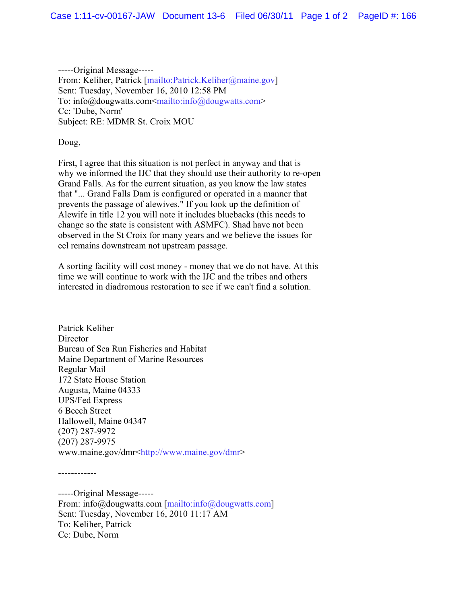-----Original Message----- From: Keliher, Patrick [mailto:Patrick.Keliher@maine.gov] Sent: Tuesday, November 16, 2010 12:58 PM To: info@dougwatts.com<mailto:info@dougwatts.com> Cc: 'Dube, Norm' Subject: RE: MDMR St. Croix MOU

Doug,

------------

First, I agree that this situation is not perfect in anyway and that is why we informed the IJC that they should use their authority to re-open Grand Falls. As for the current situation, as you know the law states that "... Grand Falls Dam is configured or operated in a manner that prevents the passage of alewives." If you look up the definition of Alewife in title 12 you will note it includes bluebacks (this needs to change so the state is consistent with ASMFC). Shad have not been observed in the St Croix for many years and we believe the issues for eel remains downstream not upstream passage.

A sorting facility will cost money - money that we do not have. At this time we will continue to work with the IJC and the tribes and others interested in diadromous restoration to see if we can't find a solution.

Patrick Keliher **Director** Bureau of Sea Run Fisheries and Habitat Maine Department of Marine Resources Regular Mail 172 State House Station Augusta, Maine 04333 UPS/Fed Express 6 Beech Street Hallowell, Maine 04347 (207) 287-9972 (207) 287-9975 www.maine.gov/dmr<http://www.maine.gov/dmr>

-----Original Message----- From: info@dougwatts.com [mailto:info@dougwatts.com] Sent: Tuesday, November 16, 2010 11:17 AM To: Keliher, Patrick Cc: Dube, Norm